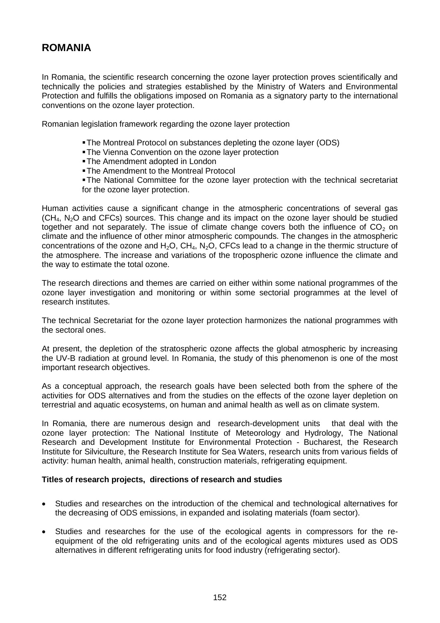## **ROMANIA**

In Romania, the scientific research concerning the ozone layer protection proves scientifically and technically the policies and strategies established by the Ministry of Waters and Environmental Protection and fulfills the obligations imposed on Romania as a signatory party to the international conventions on the ozone layer protection.

Romanian legislation framework regarding the ozone layer protection

- The Montreal Protocol on substances depleting the ozone layer (ODS)
- **The Vienna Convention on the ozone layer protection**
- **The Amendment adopted in London**
- The Amendment to the Montreal Protocol

The National Committee for the ozone layer protection with the technical secretariat for the ozone layer protection.

Human activities cause a significant change in the atmospheric concentrations of several gas  $(CH<sub>4</sub>, N<sub>2</sub>O$  and CFCs) sources. This change and its impact on the ozone layer should be studied together and not separately. The issue of climate change covers both the influence of  $CO<sub>2</sub>$  on climate and the influence of other minor atmospheric compounds. The changes in the atmospheric concentrations of the ozone and  $H_2O$ ,  $CH_4$ ,  $N_2O$ , CFCs lead to a change in the thermic structure of the atmosphere. The increase and variations of the tropospheric ozone influence the climate and the way to estimate the total ozone.

The research directions and themes are carried on either within some national programmes of the ozone layer investigation and monitoring or within some sectorial programmes at the level of research institutes.

The technical Secretariat for the ozone layer protection harmonizes the national programmes with the sectoral ones.

At present, the depletion of the stratospheric ozone affects the global atmospheric by increasing the UV-B radiation at ground level. In Romania, the study of this phenomenon is one of the most important research objectives.

As a conceptual approach, the research goals have been selected both from the sphere of the activities for ODS alternatives and from the studies on the effects of the ozone layer depletion on terrestrial and aquatic ecosystems, on human and animal health as well as on climate system.

In Romania, there are numerous design and research-development units that deal with the ozone layer protection: The National Institute of Meteorology and Hydrology, The National Research and Development Institute for Environmental Protection - Bucharest, the Research Institute for Silviculture, the Research Institute for Sea Waters, research units from various fields of activity: human health, animal health, construction materials, refrigerating equipment.

## **Titles of research projects, directions of research and studies**

- Studies and researches on the introduction of the chemical and technological alternatives for the decreasing of ODS emissions, in expanded and isolating materials (foam sector).
- Studies and researches for the use of the ecological agents in compressors for the reequipment of the old refrigerating units and of the ecological agents mixtures used as ODS alternatives in different refrigerating units for food industry (refrigerating sector).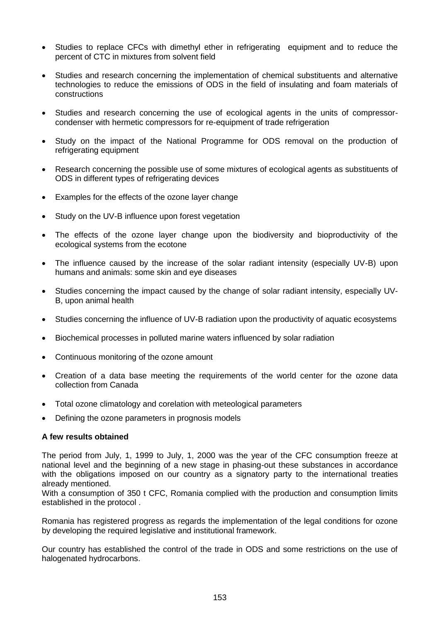- Studies to replace CFCs with dimethyl ether in refrigerating equipment and to reduce the percent of CTC in mixtures from solvent field
- Studies and research concerning the implementation of chemical substituents and alternative technologies to reduce the emissions of ODS in the field of insulating and foam materials of constructions
- Studies and research concerning the use of ecological agents in the units of compressorcondenser with hermetic compressors for re-equipment of trade refrigeration
- Study on the impact of the National Programme for ODS removal on the production of refrigerating equipment
- Research concerning the possible use of some mixtures of ecological agents as substituents of ODS in different types of refrigerating devices
- Examples for the effects of the ozone layer change
- Study on the UV-B influence upon forest vegetation
- The effects of the ozone layer change upon the biodiversity and bioproductivity of the ecological systems from the ecotone
- The influence caused by the increase of the solar radiant intensity (especially UV-B) upon humans and animals: some skin and eye diseases
- Studies concerning the impact caused by the change of solar radiant intensity, especially UV-B, upon animal health
- Studies concerning the influence of UV-B radiation upon the productivity of aquatic ecosystems
- Biochemical processes in polluted marine waters influenced by solar radiation
- Continuous monitoring of the ozone amount
- Creation of a data base meeting the requirements of the world center for the ozone data collection from Canada
- Total ozone climatology and corelation with meteological parameters
- Defining the ozone parameters in prognosis models

## **A few results obtained**

The period from July, 1, 1999 to July, 1, 2000 was the year of the CFC consumption freeze at national level and the beginning of a new stage in phasing-out these substances in accordance with the obligations imposed on our country as a signatory party to the international treaties already mentioned.

With a consumption of 350 t CFC, Romania complied with the production and consumption limits established in the protocol .

Romania has registered progress as regards the implementation of the legal conditions for ozone by developing the required legislative and institutional framework.

Our country has established the control of the trade in ODS and some restrictions on the use of halogenated hydrocarbons.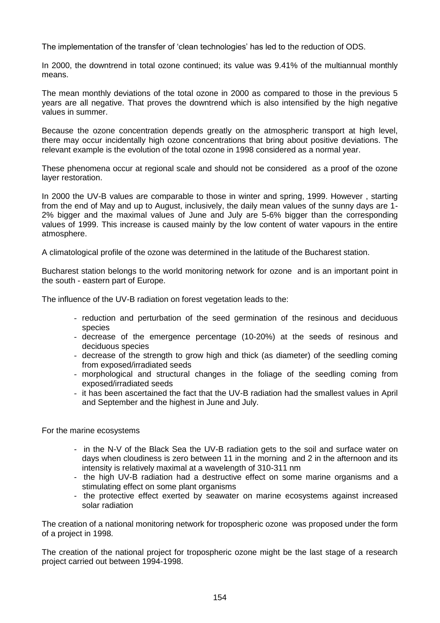The implementation of the transfer of 'clean technologies' has led to the reduction of ODS.

In 2000, the downtrend in total ozone continued; its value was 9.41% of the multiannual monthly means.

The mean monthly deviations of the total ozone in 2000 as compared to those in the previous 5 years are all negative. That proves the downtrend which is also intensified by the high negative values in summer.

Because the ozone concentration depends greatly on the atmospheric transport at high level, there may occur incidentally high ozone concentrations that bring about positive deviations. The relevant example is the evolution of the total ozone in 1998 considered as a normal year.

These phenomena occur at regional scale and should not be considered as a proof of the ozone layer restoration.

In 2000 the UV-B values are comparable to those in winter and spring, 1999. However , starting from the end of May and up to August, inclusively, the daily mean values of the sunny days are 1- 2% bigger and the maximal values of June and July are 5-6% bigger than the corresponding values of 1999. This increase is caused mainly by the low content of water vapours in the entire atmosphere.

A climatological profile of the ozone was determined in the latitude of the Bucharest station.

Bucharest station belongs to the world monitoring network for ozone and is an important point in the south - eastern part of Europe.

The influence of the UV-B radiation on forest vegetation leads to the:

- reduction and perturbation of the seed germination of the resinous and deciduous species
- decrease of the emergence percentage (10-20%) at the seeds of resinous and deciduous species
- decrease of the strength to grow high and thick (as diameter) of the seedling coming from exposed/irradiated seeds
- morphological and structural changes in the foliage of the seedling coming from exposed/irradiated seeds
- it has been ascertained the fact that the UV-B radiation had the smallest values in April and September and the highest in June and July.

For the marine ecosystems

- in the N-V of the Black Sea the UV-B radiation gets to the soil and surface water on days when cloudiness is zero between 11 in the morning and 2 in the afternoon and its intensity is relatively maximal at a wavelength of 310-311 nm
- the high UV-B radiation had a destructive effect on some marine organisms and a stimulating effect on some plant organisms
- the protective effect exerted by seawater on marine ecosystems against increased solar radiation

The creation of a national monitoring network for tropospheric ozone was proposed under the form of a project in 1998.

The creation of the national project for tropospheric ozone might be the last stage of a research project carried out between 1994-1998.